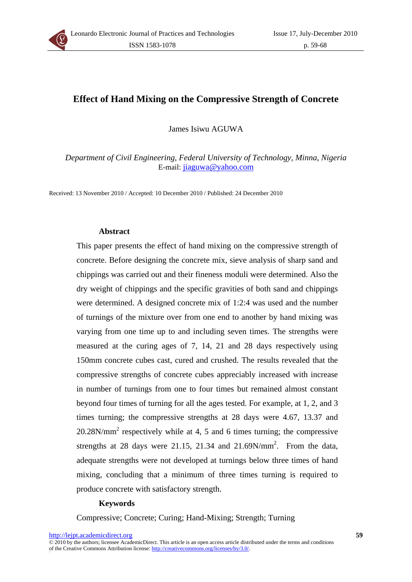

# **Effect of Hand Mixing on the Compressive Strength of Concrete**

James Isiwu AGUWA

*Department of Civil Engineering, Federal University of Technology, Minna, Nigeria*  E-mail: jiaguwa@yahoo.com

Received: 13 November 2010 / Accepted: 10 December 2010 / Published: 24 December 2010

## **Abstract**

This paper presents the effect of hand mixing on the compressive strength of concrete. Before designing the concrete mix, sieve analysis of sharp sand and chippings was carried out and their fineness moduli were determined. Also the dry weight of chippings and the specific gravities of both sand and chippings were determined. A designed concrete mix of 1:2:4 was used and the number of turnings of the mixture over from one end to another by hand mixing was varying from one time up to and including seven times. The strengths were measured at the curing ages of 7, 14, 21 and 28 days respectively using 150mm concrete cubes cast, cured and crushed. The results revealed that the compressive strengths of concrete cubes appreciably increased with increase in number of turnings from one to four times but remained almost constant beyond four times of turning for all the ages tested. For example, at 1, 2, and 3 times turning; the compressive strengths at 28 days were 4.67, 13.37 and  $20.28$ N/mm<sup>2</sup> respectively while at 4, 5 and 6 times turning; the compressive strengths at 28 days were 21.15, 21.34 and 21.69 $N/mm^2$ . From the data, adequate strengths were not developed at turnings below three times of hand mixing, concluding that a minimum of three times turning is required to produce concrete with satisfactory strength.

#### **Keywords**

Compressive; Concrete; Curing; Hand-Mixing; Strength; Turning

<sup>© 2010</sup> by the authors; licensee AcademicDirect. This article is an open access article distributed under the terms and conditions of the Creative Commons Attribution license: http://creativecommons.org/licenses/by/3.0/.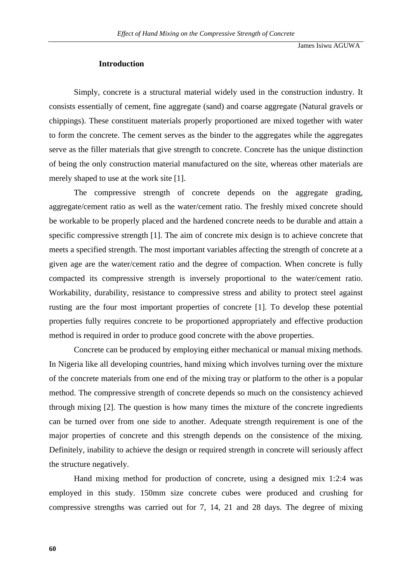#### **Introduction**

Simply, concrete is a structural material widely used in the construction industry. It consists essentially of cement, fine aggregate (sand) and coarse aggregate (Natural gravels or chippings). These constituent materials properly proportioned are mixed together with water to form the concrete. The cement serves as the binder to the aggregates while the aggregates serve as the filler materials that give strength to concrete. Concrete has the unique distinction of being the only construction material manufactured on the site, whereas other materials are merely shaped to use at the work site [1].

The compressive strength of concrete depends on the aggregate grading, aggregate/cement ratio as well as the water/cement ratio. The freshly mixed concrete should be workable to be properly placed and the hardened concrete needs to be durable and attain a specific compressive strength [1]. The aim of concrete mix design is to achieve concrete that meets a specified strength. The most important variables affecting the strength of concrete at a given age are the water/cement ratio and the degree of compaction. When concrete is fully compacted its compressive strength is inversely proportional to the water/cement ratio. Workability, durability, resistance to compressive stress and ability to protect steel against rusting are the four most important properties of concrete [1]. To develop these potential properties fully requires concrete to be proportioned appropriately and effective production method is required in order to produce good concrete with the above properties.

Concrete can be produced by employing either mechanical or manual mixing methods. In Nigeria like all developing countries, hand mixing which involves turning over the mixture of the concrete materials from one end of the mixing tray or platform to the other is a popular method. The compressive strength of concrete depends so much on the consistency achieved through mixing [2]. The question is how many times the mixture of the concrete ingredients can be turned over from one side to another. Adequate strength requirement is one of the major properties of concrete and this strength depends on the consistence of the mixing. Definitely, inability to achieve the design or required strength in concrete will seriously affect the structure negatively.

Hand mixing method for production of concrete, using a designed mix 1:2:4 was employed in this study. 150mm size concrete cubes were produced and crushing for compressive strengths was carried out for 7, 14, 21 and 28 days. The degree of mixing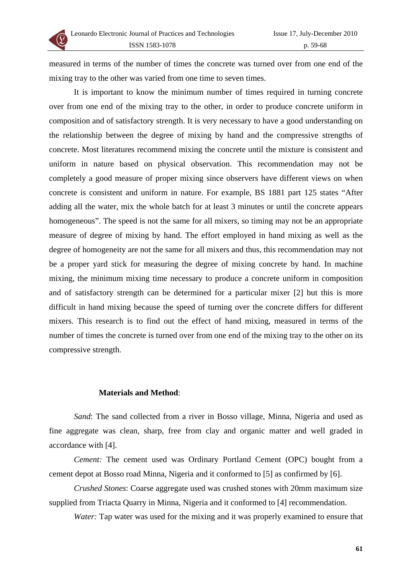

measured in terms of the number of times the concrete was turned over from one end of the mixing tray to the other was varied from one time to seven times.

It is important to know the minimum number of times required in turning concrete over from one end of the mixing tray to the other, in order to produce concrete uniform in composition and of satisfactory strength. It is very necessary to have a good understanding on the relationship between the degree of mixing by hand and the compressive strengths of concrete. Most literatures recommend mixing the concrete until the mixture is consistent and uniform in nature based on physical observation. This recommendation may not be completely a good measure of proper mixing since observers have different views on when concrete is consistent and uniform in nature. For example, BS 1881 part 125 states "After adding all the water, mix the whole batch for at least 3 minutes or until the concrete appears homogeneous". The speed is not the same for all mixers, so timing may not be an appropriate measure of degree of mixing by hand. The effort employed in hand mixing as well as the degree of homogeneity are not the same for all mixers and thus, this recommendation may not be a proper yard stick for measuring the degree of mixing concrete by hand. In machine mixing, the minimum mixing time necessary to produce a concrete uniform in composition and of satisfactory strength can be determined for a particular mixer [2] but this is more difficult in hand mixing because the speed of turning over the concrete differs for different mixers. This research is to find out the effect of hand mixing, measured in terms of the number of times the concrete is turned over from one end of the mixing tray to the other on its compressive strength.

## **Materials and Method**:

*Sand*: The sand collected from a river in Bosso village, Minna, Nigeria and used as fine aggregate was clean, sharp, free from clay and organic matter and well graded in accordance with [4].

*Cement:* The cement used was Ordinary Portland Cement (OPC) bought from a cement depot at Bosso road Minna, Nigeria and it conformed to [5] as confirmed by [6].

*Crushed Stones*: Coarse aggregate used was crushed stones with 20mm maximum size supplied from Triacta Quarry in Minna, Nigeria and it conformed to [4] recommendation.

*Water:* Tap water was used for the mixing and it was properly examined to ensure that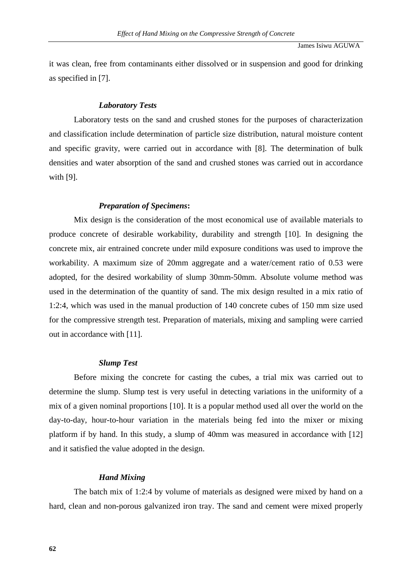it was clean, free from contaminants either dissolved or in suspension and good for drinking as specified in [7].

#### *Laboratory Tests*

Laboratory tests on the sand and crushed stones for the purposes of characterization and classification include determination of particle size distribution, natural moisture content and specific gravity, were carried out in accordance with [8]. The determination of bulk densities and water absorption of the sand and crushed stones was carried out in accordance with [9].

#### *Preparation of Specimens***:**

Mix design is the consideration of the most economical use of available materials to produce concrete of desirable workability, durability and strength [10]. In designing the concrete mix, air entrained concrete under mild exposure conditions was used to improve the workability. A maximum size of 20mm aggregate and a water/cement ratio of 0.53 were adopted, for the desired workability of slump 30mm-50mm. Absolute volume method was used in the determination of the quantity of sand. The mix design resulted in a mix ratio of 1:2:4, which was used in the manual production of 140 concrete cubes of 150 mm size used for the compressive strength test. Preparation of materials, mixing and sampling were carried out in accordance with [11].

#### *Slump Test*

Before mixing the concrete for casting the cubes, a trial mix was carried out to determine the slump. Slump test is very useful in detecting variations in the uniformity of a mix of a given nominal proportions [10]. It is a popular method used all over the world on the day-to-day, hour-to-hour variation in the materials being fed into the mixer or mixing platform if by hand. In this study, a slump of 40mm was measured in accordance with [12] and it satisfied the value adopted in the design.

#### *Hand Mixing*

The batch mix of 1:2:4 by volume of materials as designed were mixed by hand on a hard, clean and non-porous galvanized iron tray. The sand and cement were mixed properly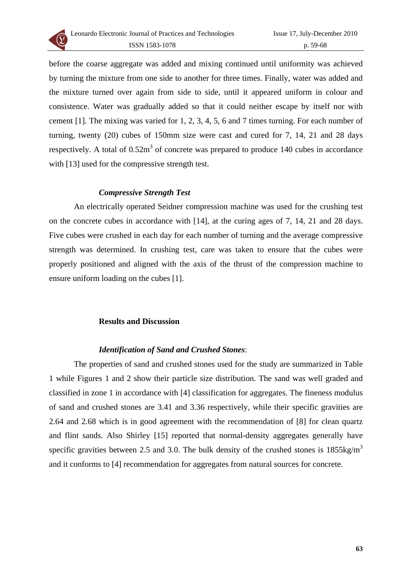

before the coarse aggregate was added and mixing continued until uniformity was achieved by turning the mixture from one side to another for three times. Finally, water was added and the mixture turned over again from side to side, until it appeared uniform in colour and consistence. Water was gradually added so that it could neither escape by itself nor with cement [1]. The mixing was varied for 1, 2, 3, 4, 5, 6 and 7 times turning. For each number of turning, twenty (20) cubes of 150mm size were cast and cured for 7, 14, 21 and 28 days respectively. A total of  $0.52m<sup>3</sup>$  of concrete was prepared to produce 140 cubes in accordance with [13] used for the compressive strength test.

## *Compressive Strength Test*

An electrically operated Seidner compression machine was used for the crushing test on the concrete cubes in accordance with [14], at the curing ages of 7, 14, 21 and 28 days. Five cubes were crushed in each day for each number of turning and the average compressive strength was determined. In crushing test, care was taken to ensure that the cubes were properly positioned and aligned with the axis of the thrust of the compression machine to ensure uniform loading on the cubes [1].

## **Results and Discussion**

# *Identification of Sand and Crushed Stones*:

The properties of sand and crushed stones used for the study are summarized in Table 1 while Figures 1 and 2 show their particle size distribution. The sand was well graded and classified in zone 1 in accordance with [4] classification for aggregates. The fineness modulus of sand and crushed stones are 3.41 and 3.36 respectively, while their specific gravities are 2.64 and 2.68 which is in good agreement with the recommendation of [8] for clean quartz and flint sands. Also Shirley [15] reported that normal-density aggregates generally have specific gravities between 2.5 and 3.0. The bulk density of the crushed stones is  $1855 \text{kg/m}^3$ and it conforms to [4] recommendation for aggregates from natural sources for concrete.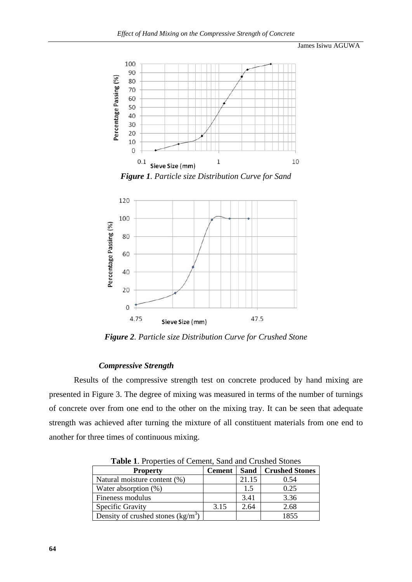## James Isiwu AGUWA



*Figure 1. Particle size Distribution Curve for Sand* 



*Figure 2. Particle size Distribution Curve for Crushed Stone* 

## *Compressive Strength*

Results of the compressive strength test on concrete produced by hand mixing are presented in Figure 3. The degree of mixing was measured in terms of the number of turnings of concrete over from one end to the other on the mixing tray. It can be seen that adequate strength was achieved after turning the mixture of all constituent materials from one end to another for three times of continuous mixing.

| <b>Table 1.</b> I reperties of Centent, band and Crustica Stones |               |       |                              |
|------------------------------------------------------------------|---------------|-------|------------------------------|
| <b>Property</b>                                                  | <b>Cement</b> |       | <b>Sand   Crushed Stones</b> |
| Natural moisture content (%)                                     |               | 21.15 | 0.54                         |
| Water absorption (%)                                             |               | 1.5   | 0.25                         |
| Fineness modulus                                                 |               | 3.41  | 3.36                         |
| Specific Gravity                                                 | 3.15          | 2.64  | 2.68                         |
| Density of crushed stones $(kg/m3)$                              |               |       | 1855                         |

**Table 1**. Properties of Cement, Sand and Crushed Stones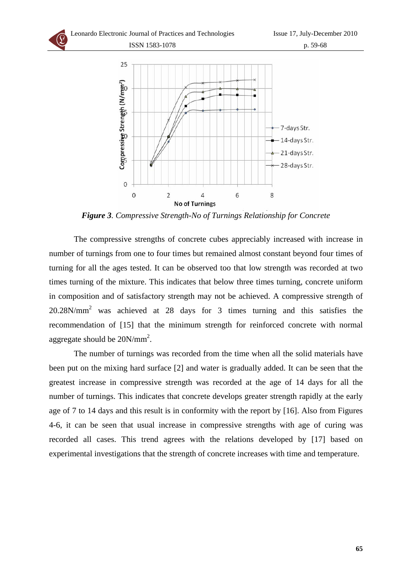

*Figure 3. Compressive Strength-No of Turnings Relationship for Concrete* 

The compressive strengths of concrete cubes appreciably increased with increase in number of turnings from one to four times but remained almost constant beyond four times of turning for all the ages tested. It can be observed too that low strength was recorded at two times turning of the mixture. This indicates that below three times turning, concrete uniform in composition and of satisfactory strength may not be achieved. A compressive strength of 20.28N/mm2 was achieved at 28 days for 3 times turning and this satisfies the recommendation of [15] that the minimum strength for reinforced concrete with normal aggregate should be  $20N/mm^2$ .

The number of turnings was recorded from the time when all the solid materials have been put on the mixing hard surface [2] and water is gradually added. It can be seen that the greatest increase in compressive strength was recorded at the age of 14 days for all the number of turnings. This indicates that concrete develops greater strength rapidly at the early age of 7 to 14 days and this result is in conformity with the report by [16]. Also from Figures 4-6, it can be seen that usual increase in compressive strengths with age of curing was recorded all cases. This trend agrees with the relations developed by [17] based on experimental investigations that the strength of concrete increases with time and temperature.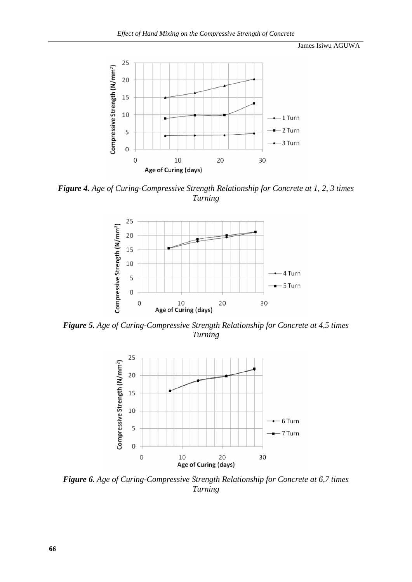James Isiwu AGUWA



*Figure 4. Age of Curing-Compressive Strength Relationship for Concrete at 1, 2, 3 times Turning* 



*Figure 5. Age of Curing-Compressive Strength Relationship for Concrete at 4,5 times Turning*



*Figure 6. Age of Curing-Compressive Strength Relationship for Concrete at 6,7 times Turning*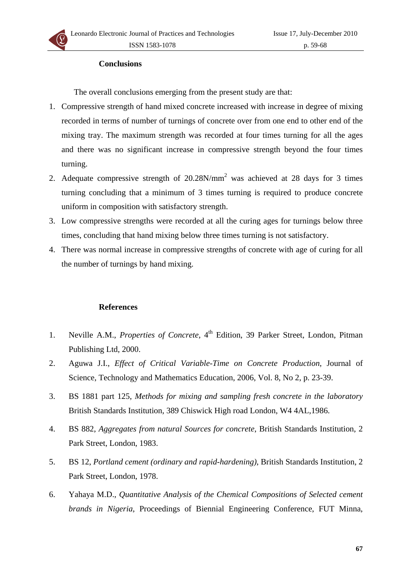#### **Conclusions**

The overall conclusions emerging from the present study are that:

- 1. Compressive strength of hand mixed concrete increased with increase in degree of mixing recorded in terms of number of turnings of concrete over from one end to other end of the mixing tray. The maximum strength was recorded at four times turning for all the ages and there was no significant increase in compressive strength beyond the four times turning.
- 2. Adequate compressive strength of  $20.28N/mm^2$  was achieved at 28 days for 3 times turning concluding that a minimum of 3 times turning is required to produce concrete uniform in composition with satisfactory strength.
- 3. Low compressive strengths were recorded at all the curing ages for turnings below three times, concluding that hand mixing below three times turning is not satisfactory.
- 4. There was normal increase in compressive strengths of concrete with age of curing for all the number of turnings by hand mixing.

#### **References**

- 1. Neville A.M., *Properties of Concrete*, 4<sup>th</sup> Edition, 39 Parker Street, London, Pitman Publishing Ltd, 2000.
- 2. Aguwa J.I., *Effect of Critical Variable-Time on Concrete Production*, Journal of Science, Technology and Mathematics Education, 2006, Vol. 8, No 2, p. 23-39.
- 3. BS 1881 part 125, *Methods for mixing and sampling fresh concrete in the laboratory* British Standards Institution, 389 Chiswick High road London, W4 4AL,1986.
- 4. BS 882, *Aggregates from natural Sources for concrete*, British Standards Institution, 2 Park Street, London, 1983.
- 5. BS 12, *Portland cement (ordinary and rapid-hardening)*, British Standards Institution, 2 Park Street, London, 1978.
- 6. Yahaya M.D., *Quantitative Analysis of the Chemical Compositions of Selected cement brands in Nigeria*, Proceedings of Biennial Engineering Conference, FUT Minna,